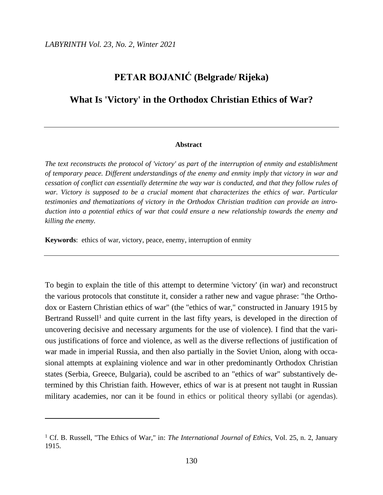# **PETAR BOJANIĆ (Belgrade/ Rijeka)**

# **What Is 'Victory' in the Orthodox Christian Ethics of War?**

#### **Abstract**

*The text reconstructs the protocol of 'victory' as part of the interruption of enmity and establishment of temporary peace. Different understandings of the enemy and enmity imply that victory in war and cessation of conflict can essentially determine the way war is conducted, and that they follow rules of war. Victory is supposed to be a crucial moment that characterizes the ethics of war. Particular testimonies and thematizations of victory in the Orthodox Christian tradition can provide an introduction into a potential ethics of war that could ensure a new relationship towards the enemy and killing the enemy.*

**Keywords**: ethics of war, victory, peace, enemy, interruption of enmity

 $\overline{a}$ 

To begin to explain the title of this attempt to determine 'victory' (in war) and reconstruct the various protocols that constitute it, consider a rather new and vague phrase: "the Orthodox or Eastern Christian ethics of war" (the "ethics of war," constructed in January 1915 by Bertrand Russell<sup>1</sup> and quite current in the last fifty years, is developed in the direction of uncovering decisive and necessary arguments for the use of violence). I find that the various justifications of force and violence, as well as the diverse reflections of justification of war made in imperial Russia, and then also partially in the Soviet Union, along with occasional attempts at explaining violence and war in other predominantly Orthodox Christian states (Serbia, Greece, Bulgaria), could be ascribed to an "ethics of war" substantively determined by this Christian faith. However, ethics of war is at present not taught in Russian military academies, nor can it be found in ethics or political theory syllabi (or agendas).

<sup>1</sup> Cf. B. Russell, "The Ethics of War," in: *The International Journal of Ethics*, Vol. 25, n. 2, January 1915.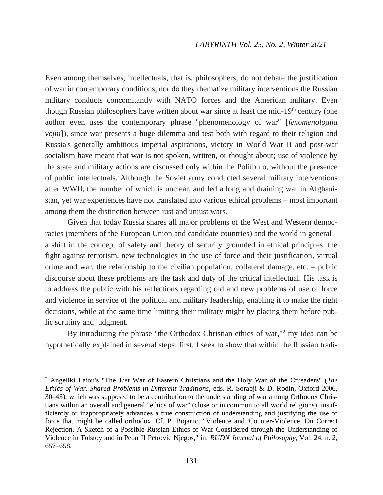Even among themselves, intellectuals, that is, philosophers, do not debate the justification of war in contemporary conditions, nor do they thematize military interventions the Russian military conducts concomitantly with NATO forces and the American military. Even though Russian philosophers have written about war since at least the mid-19<sup>th</sup> century (one author even uses the contemporary phrase "phenomenology of war" [*fenomenologija vojni*]), since war presents a huge dilemma and test both with regard to their religion and Russia's generally ambitious imperial aspirations, victory in World War II and post-war socialism have meant that war is not spoken, written, or thought about; use of violence by the state and military actions are discussed only within the Politburo, without the presence of public intellectuals. Although the Soviet army conducted several military interventions after WWII, the number of which is unclear, and led a long and draining war in Afghanistan, yet war experiences have not translated into various ethical problems – most important among them the distinction between just and unjust wars.

Given that today Russia shares all major problems of the West and Western democracies (members of the European Union and candidate countries) and the world in general – a shift in the concept of safety and theory of security grounded in ethical principles, the fight against terrorism, new technologies in the use of force and their justification, virtual crime and war, the relationship to the civilian population, collateral damage, etc. – public discourse about these problems are the task and duty of the critical intellectual. His task is to address the public with his reflections regarding old and new problems of use of force and violence in service of the political and military leadership, enabling it to make the right decisions, while at the same time limiting their military might by placing them before public scrutiny and judgment.

By introducing the phrase "the Orthodox Christian ethics of war,"<sup>2</sup> my idea can be hypothetically explained in several steps: first, I seek to show that within the Russian tradi-

<sup>2</sup> Angeliki Laiou's "The Just War of Eastern Christians and the Holy War of the Crusaders" (*The Ethics of War. Shared Problems in Different Traditions*, eds. R. Sorabji & D. Rodin, Oxford 2006, 30–43), which was supposed to be a contribution to the understanding of war among Orthodox Christians within an overall and general "ethics of war" (close or in common to all world religions), insufficiently or inappropriately advances a true construction of understanding and justifying the use of force that might be called orthodox. Cf. P. Bojanic, "Violence and 'Counter-Violence. On Correct Rejection. A Sketch of a Possible Russian Ethics of War Considered through the Understanding of Violence in Tolstoy and in Petar II Petrovic Njegos," in: *RUDN Journal of Philosophy*, Vol. 24, n. 2, 657–658.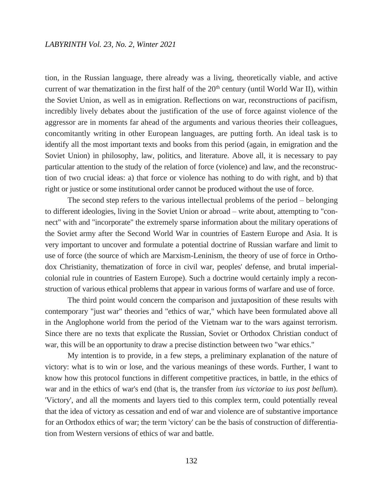tion, in the Russian language, there already was a living, theoretically viable, and active current of war thematization in the first half of the  $20<sup>th</sup>$  century (until World War II), within the Soviet Union, as well as in emigration. Reflections on war, reconstructions of pacifism, incredibly lively debates about the justification of the use of force against violence of the aggressor are in moments far ahead of the arguments and various theories their colleagues, concomitantly writing in other European languages, are putting forth. An ideal task is to identify all the most important texts and books from this period (again, in emigration and the Soviet Union) in philosophy, law, politics, and literature. Above all, it is necessary to pay particular attention to the study of the relation of force (violence) and law, and the reconstruction of two crucial ideas: a) that force or violence has nothing to do with right, and b) that right or justice or some institutional order cannot be produced without the use of force.

The second step refers to the various intellectual problems of the period – belonging to different ideologies, living in the Soviet Union or abroad – write about, attempting to "connect" with and "incorporate" the extremely sparse information about the military operations of the Soviet army after the Second World War in countries of Eastern Europe and Asia. It is very important to uncover and formulate a potential doctrine of Russian warfare and limit to use of force (the source of which are Marxism-Leninism, the theory of use of force in Orthodox Christianity, thematization of force in civil war, peoples' defense, and brutal imperialcolonial rule in countries of Eastern Europe). Such a doctrine would certainly imply a reconstruction of various ethical problems that appear in various forms of warfare and use of force.

The third point would concern the comparison and juxtaposition of these results with contemporary "just war" theories and "ethics of war," which have been formulated above all in the Anglophone world from the period of the Vietnam war to the wars against terrorism. Since there are no texts that explicate the Russian, Soviet or Orthodox Christian conduct of war, this will be an opportunity to draw a precise distinction between two "war ethics."

My intention is to provide, in a few steps, a preliminary explanation of the nature of victory: what is to win or lose, and the various meanings of these words. Further, I want to know how this protocol functions in different competitive practices, in battle, in the ethics of war and in the ethics of war's end (that is, the transfer from *ius victoriae* to *ius post bellum*). 'Victory', and all the moments and layers tied to this complex term, could potentially reveal that the idea of victory as cessation and end of war and violence are of substantive importance for an Orthodox ethics of war; the term 'victory' can be the basis of construction of differentiation from Western versions of ethics of war and battle.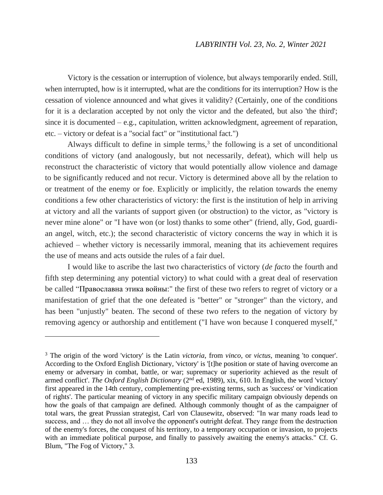Victory is the cessation or interruption of violence, but always temporarily ended. Still, when interrupted, how is it interrupted, what are the conditions for its interruption? How is the cessation of violence announced and what gives it validity? (Certainly, one of the conditions for it is a declaration accepted by not only the victor and the defeated, but also 'the third'; since it is documented – e.g., capitulation, written acknowledgment, agreement of reparation, etc. – victory or defeat is a "social fact" or "institutional fact.")

Always difficult to define in simple terms, $3$  the following is a set of unconditional conditions of victory (and analogously, but not necessarily, defeat), which will help us reconstruct the characteristic of victory that would potentially allow violence and damage to be significantly reduced and not recur. Victory is determined above all by the relation to or treatment of the enemy or foe. Explicitly or implicitly, the relation towards the enemy conditions a few other characteristics of victory: the first is the institution of help in arriving at victory and all the variants of support given (or obstruction) to the victor, as "victory is never mine alone" or "I have won (or lost) thanks to some other" (friend, ally, God, guardian angel, witch, etc.); the second characteristic of victory concerns the way in which it is achieved – whether victory is necessarily immoral, meaning that its achievement requires the use of means and acts outside the rules of a fair duel.

I would like to ascribe the last two characteristics of victory (*de facto* the fourth and fifth step determining any potential victory) to what could with a great deal of reservation be called "Православна этика войны:" the first of these two refers to regret of victory or a manifestation of grief that the one defeated is "better" or "stronger" than the victory, and has been "unjustly" beaten. The second of these two refers to the negation of victory by removing agency or authorship and entitlement ("I have won because I conquered myself,"

<sup>3</sup> The origin of the word 'victory' is the Latin *victoria*, from *vinco*, or *victus*, meaning 'to conquer'. According to the Oxford English Dictionary, 'victory' is '[t]he position or state of having overcome an enemy or adversary in combat, battle, or war; supremacy or superiority achieved as the result of armed conflict'. *The Oxford English Dictionary* (2nd ed, 1989), xix, 610. In English, the word 'victory' first appeared in the 14th century, complementing pre-existing terms, such as 'success' or 'vindication of rights'. The particular meaning of victory in any specific military campaign obviously depends on how the goals of that campaign are defined. Although commonly thought of as the campaigner of total wars, the great Prussian strategist, Carl von Clausewitz, observed: "In war many roads lead to success, and ... they do not all involve the opponent's outright defeat. They range from the destruction of the enemy's forces, the conquest of his territory, to a temporary occupation or invasion, to projects with an immediate political purpose, and finally to passively awaiting the enemy's attacks." Cf. G. Blum, "The Fog of Victory," 3.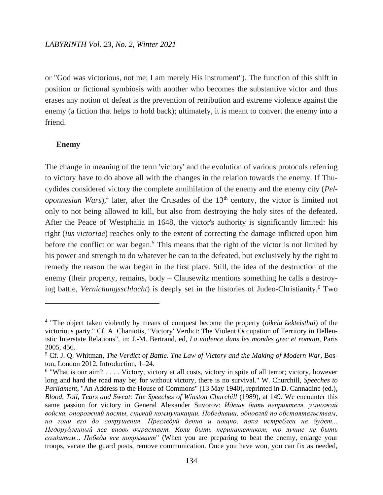or "God was victorious, not me; I am merely His instrument"). The function of this shift in position or fictional symbiosis with another who becomes the substantive victor and thus erases any notion of defeat is the prevention of retribution and extreme violence against the enemy (a fiction that helps to hold back); ultimately, it is meant to convert the enemy into a friend.

# **Enemy**

 $\overline{a}$ 

The change in meaning of the term 'victory' and the evolution of various protocols referring to victory have to do above all with the changes in the relation towards the enemy. If Thucydides considered victory the complete annihilation of the enemy and the enemy city (*Peloponnesian Wars*),<sup>4</sup> later, after the Crusades of the 13<sup>th</sup> century, the victor is limited not only to not being allowed to kill, but also from destroying the holy sites of the defeated. After the Peace of Westphalia in 1648, the victor's authority is significantly limited: his right (*ius victoriae*) reaches only to the extent of correcting the damage inflicted upon him before the conflict or war began.<sup>5</sup> This means that the right of the victor is not limited by his power and strength to do whatever he can to the defeated, but exclusively by the right to remedy the reason the war began in the first place. Still, the idea of the destruction of the enemy (their property, remains, body – Clausewitz mentions something he calls a destroying battle, *Vernichungsschlacht*) is deeply set in the histories of Judeo-Christianity.<sup>6</sup> Two

<sup>4</sup> "The object taken violently by means of conquest become the property (*oikeia kekteisthai*) of the victorious party." Cf. A. Chaniotis, "Victory' Verdict: The Violent Occupation of Territory in Hellenistic Interstate Relations", in: J.-M. Bertrand, ed, *La violence dans les mondes grec et romain*, Paris 2005, 456.

<sup>5</sup> Cf. J. Q. Whitman, *The Verdict of Battle. The Law of Victory and the Making of Modern War*, Boston, London 2012, Introduction, 1–24.

<sup>&</sup>lt;sup>6</sup> "What is our aim? . . . . Victory, victory at all costs, victory in spite of all terror; victory, however long and hard the road may be; for without victory, there is no survival." W. Churchill, *Speeches to Parliament*, "An Address to the House of Commons" (13 May 1940), reprinted in D. Cannadine (ed.)*, Blood, Toil, Tears and Sweat: The Speeches of Winston Churchill (1989), at 149. We encounter this* same passion for victory in General Alexander Suvorov: *Идешь бить неприятеля, умножай войска, опорожняй посты, снимай коммуникации. Победивши, обновляй по обстоятельствам, но гони его до сокрушения. Преследуй денно и нощно, пока истреблен не будет... Недорубленный лес вновь вырастает. Коли быть перипатетиком, то лучше не быть солдатом... Победа все покрывает*" (When you are preparing to beat the enemy, enlarge your troops, vacate the guard posts, remove communication. Once you have won, you can fix as needed,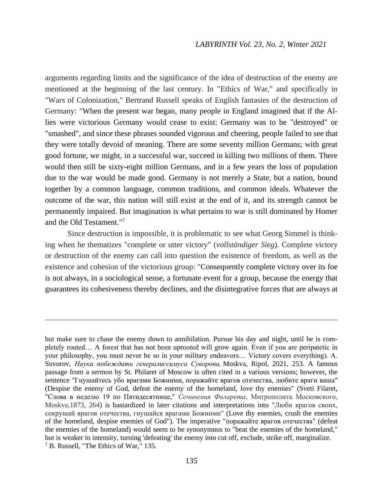arguments regarding limits and the significance of the idea of destruction of the enemy are mentioned at the beginning of the last century. In "Ethics of War," and specifically in "Wars of Colonization," Bertrand Russell speaks of English fantasies of the destruction of Germany: "When the present war began, many people in England imagined that if the Allies were victorious Germany would cease to exist: Germany was to be "destroyed" or "smashed", and since these phrases sounded vigorous and cheering, people failed to see that they were totally devoid of meaning. There are some seventy million Germans; with great good fortune, we might, in a successful war, succeed in killing two millions of them. There would then still be sixty-eight million Germans, and in a few years the loss of population due to the war would be made good. Germany is not merely a State, but a nation, bound together by a common language, common traditions, and common ideals. Whatever the outcome of the war, this nation will still exist at the end of it, and its strength cannot be permanently impaired. But imagination is what pertains to war is still dominated by Homer and the Old Testament."<sup>7</sup>

Since destruction is impossible, it is problematic to see what Georg Simmel is thinking when he thematizes "complete or utter victory" (*vollständiger Sieg*). Complete victory or destruction of the enemy can call into question the existence of freedom, as well as the existence and cohesion of the victorious group: "Consequently complete victory over its foe is not always, in a sociological sense, a fortunate event for a group, because the energy that guarantees its cohesiveness thereby declines, and the disintegrative forces that are always at

but make sure to chase the enemy down to annihilation. Pursue his day and night, until he is completely routed… A forest that has not been uprooted will grow again. Even if you are peripatetic in your philosophy, you must never be so in your military endeavors… Victory covers everything). A. Suvorov, *Наука побеждать генералиссимуса Суворова,* Moskva, Ripol, 2021, 253. A famous passage from a sermon by St. Philaret of Moscow is often cited in a various versions; however, the sentence "Гнушайтесь убо врагами Божиими, поражайте врагов отечества, любите враги ваша" (Despise the enemy of God, defeat the enemy of the homeland, love thy enemies" (Sveti Filaret, "Слова в неделю 19 по Пятидесятнице," *Сочинения Филарета*, Митрополита Московского, Moskva,1873, 264) is bastardized in later citations and interpretations into "Люби врагов своих, сокрушай врагов отечества, гнушайся врагами Божиими" (Love thy enemies, crush the enemies of the homeland, despise enemies of God"). The imperative "поражайте врагов отечества" (defeat the enemies of the homeland) would seem to be synonymous to "beat the enemies of the homeland," but is weaker in intensity, turning 'defeating' the enemy into cut off, exclude, strike off, marginalize. <sup>7</sup> B. Russell, "The Ethics of War," 135.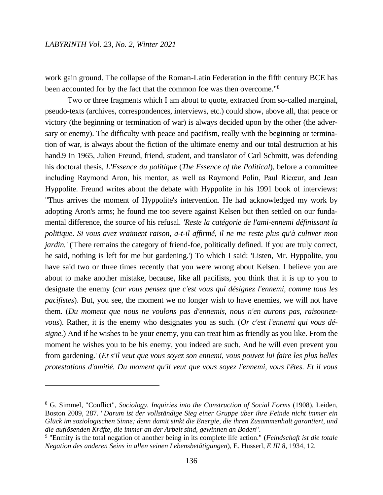$\overline{a}$ 

work gain ground. The collapse of the Roman-Latin Federation in the fifth century BCE has been accounted for by the fact that the common foe was then overcome."<sup>8</sup>

Two or three fragments which I am about to quote, extracted from so-called marginal, pseudo-texts (archives, correspondences, interviews, etc.) could show, above all, that peace or victory (the beginning or termination of war) is always decided upon by the other (the adversary or enemy). The difficulty with peace and pacifism, really with the beginning or termination of war, is always about the fiction of the ultimate enemy and our total destruction at his hand.9 In 1965, Julien Freund, friend, student, and translator of Carl Schmitt, was defending his doctoral thesis, *L'Essence du politique* (*The Essence of the Political*), before a committee including Raymond Aron, his mentor, as well as Raymond Polin, Paul Ricœur, and Jean Hyppolite. Freund writes about the debate with Hyppolite in his 1991 book of interviews: "Thus arrives the moment of Hyppolite's intervention. He had acknowledged my work by adopting Aron's arms; he found me too severe against Kelsen but then settled on our fundamental difference, the source of his refusal. *'Reste la catégorie de l'ami-ennemi définissant la politique. Si vous avez vraiment raison, a-t-il affirmé, il ne me reste plus qu'à cultiver mon jardin.'* ('There remains the category of friend-foe, politically defined. If you are truly correct, he said, nothing is left for me but gardening.') To which I said: 'Listen, Mr. Hyppolite, you have said two or three times recently that you were wrong about Kelsen. I believe you are about to make another mistake, because, like all pacifists, you think that it is up to you to designate the enemy (*car vous pensez que c'est vous qui désignez l'ennemi, comme tous les pacifistes*). But, you see, the moment we no longer wish to have enemies, we will not have them. (*Du moment que nous ne voulons pas d'ennemis, nous n'en aurons pas, raisonnezvous*). Rather, it is the enemy who designates you as such. (*Or c'est l'ennemi qui vous désigne.*) And if he wishes to be your enemy, you can treat him as friendly as you like. From the moment he wishes you to be his enemy, you indeed are such. And he will even prevent you from gardening.' (*Et s'il veut que vous soyez son ennemi, vous pouvez lui faire les plus belles protestations d'amitié. Du moment qu'il veut que vous soyez l'ennemi, vous l'êtes. Et il vous* 

<sup>8</sup> G. Simmel, "Conflict", *Sociology. Inquiries into the Construction of Social Forms* (1908), Leiden, Boston 2009, 287. "*Darum ist der vollständige Sieg einer Gruppe über ihre Feinde nicht immer ein Glück im soziologischen Sinne; denn damit sinkt die Energie, die ihren Zusammenhalt garantiert, und die auflösenden Kräfte, die immer an der Arbeit sind, gewinnen an Boden*".

<sup>9</sup> "Enmity is the total negation of another being in its complete life action." (*Feindschaft ist die totale Negation des anderen Seins in allen seinen Lebensbetätigungen*), E. Husserl, *E III 8*, 1934, 12.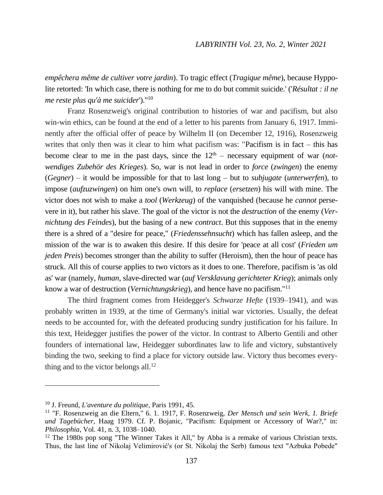*empêchera même de cultiver votre jardin*). To tragic effect (*Tragique même*), because Hyppolite retorted: 'In which case, there is nothing for me to do but commit suicide.' ('*Résultat : il ne me reste plus qu'à me suicider*')."<sup>10</sup>

Franz Rosenzweig's original contribution to histories of war and pacifism, but also win-win ethics, can be found at the end of a letter to his parents from January 6, 1917. Imminently after the official offer of peace by Wilhelm II (on December 12, 1916), Rosenzweig writes that only then was it clear to him what pacifism was: "Pacifism is in fact – this has become clear to me in the past days, since the  $12<sup>th</sup>$  – necessary equipment of war (*notwendiges Zubehör des Krieges*). So, war is not lead in order to *force* (*zwingen*) the enemy (*Gegner*) – it would be impossible for that to last long – but to *subjugate* (*unterwerfen*), to impose (*aufzuzwingen*) on him one's own will, to *replace* (*ersetzen*) his will with mine. The victor does not wish to make a *tool* (*Werkzeug*) of the vanquished (because he *cannot* persevere in it), but rather his slave. The goal of the victor is not the *destruction* of the enemy (*Vernichtung des Feindes*), but the basing of a new *contract*. But this supposes that in the enemy there is a shred of a "desire for peace," (*Friedenssehnsucht*) which has fallen asleep, and the mission of the war is to awaken this desire. If this desire for 'peace at all cost' (*Frieden um jeden Preis*) becomes stronger than the ability to suffer (Heroism), then the hour of peace has struck. All this of course applies to two victors as it does to one. Therefore, pacifism is 'as old as' war (namely, *human*, slave-directed war (*auf Versklavung gerichteter Krieg*); animals only know a war of destruction (*Vernichtungskrieg*), and hence have no pacifism."<sup>11</sup>

The third fragment comes from Heidegger's *Schwarze Hefte* (1939–1941), and was probably written in 1939, at the time of Germany's initial war victories. Usually, the defeat needs to be accounted for, with the defeated producing sundry justification for his failure. In this text, Heidegger justifies the power of the victor. In contrast to Alberto Gentili and other founders of international law, Heidegger subordinates law to life and victory, substantively binding the two, seeking to find a place for victory outside law. Victory thus becomes everything and to the victor belongs all.<sup>12</sup>

<sup>10</sup> J. Freund, *L'aventure du politique*, Paris 1991, 45.

<sup>11</sup> "F. Rosenzweig an die Eltern," 6. 1. 1917, F. Rosenzweig, *Der Mensch und sein Werk, 1. Briefe und Tagebücher*, Haag 1979. Cf. P. Bojanic, "Pacifism: Equipment or Accessory of War?," in: *Philosophia*, Vol. 41, n. 3, 1038–1040.

<sup>&</sup>lt;sup>12</sup> The 1980s pop song "The Winner Takes it All," by Abba is a remake of various Christian texts. Thus, the last line of Nikolaj Velimirović's (or St. Nikolaj the Serb) famous text "Azbuka Pobede"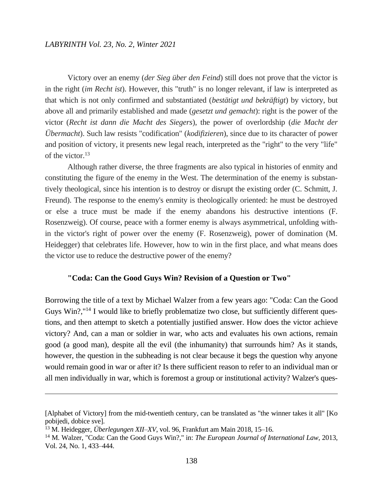Victory over an enemy (*der Sieg über den Feind*) still does not prove that the victor is in the right (*im Recht ist*). However, this "truth" is no longer relevant, if law is interpreted as that which is not only confirmed and substantiated (*bestätigt und bekräftigt*) by victory, but above all and primarily established and made (*gesetzt und gemacht*): right is the power of the victor (*Recht ist dann die Macht des Siegers*), the power of overlordship (*die Macht der Übermacht*). Such law resists "codification" (*kodifizieren*), since due to its character of power and position of victory, it presents new legal reach, interpreted as the "right" to the very "life" of the victor.<sup>13</sup>

Although rather diverse, the three fragments are also typical in histories of enmity and constituting the figure of the enemy in the West. The determination of the enemy is substantively theological, since his intention is to destroy or disrupt the existing order (C. Schmitt, J. Freund). The response to the enemy's enmity is theologically oriented: he must be destroyed or else a truce must be made if the enemy abandons his destructive intentions (F. Rosenzweig). Of course, peace with a former enemy is always asymmetrical, unfolding within the victor's right of power over the enemy (F. Rosenzweig), power of domination (M. Heidegger) that celebrates life. However, how to win in the first place, and what means does the victor use to reduce the destructive power of the enemy?

## **"Coda: Can the Good Guys Win? Revision of a Question or Two"**

Borrowing the title of a text by Michael Walzer from a few years ago: "Coda: Can the Good Guys Win?,"<sup>14</sup> I would like to briefly problematize two close, but sufficiently different questions, and then attempt to sketch a potentially justified answer. How does the victor achieve victory? And, can a man or soldier in war, who acts and evaluates his own actions, remain good (a good man), despite all the evil (the inhumanity) that surrounds him? As it stands, however, the question in the subheading is not clear because it begs the question why anyone would remain good in war or after it? Is there sufficient reason to refer to an individual man or all men individually in war, which is foremost a group or institutional activity? Walzer's ques-

<sup>[</sup>Alphabet of Victory] from the mid-twentieth century, can be translated as "the winner takes it all" [Ko pobijedi, dobice sve].

<sup>13</sup> M. Heidegger, *Überlegungen XII–XV*, vol. 96, Frankfurt am Main 2018, 15–16.

<sup>14</sup> M. Walzer, "Coda: Can the Good Guys Win?," in: *The European Journal of International Law*, 2013, Vol. 24, No. 1, 433–444.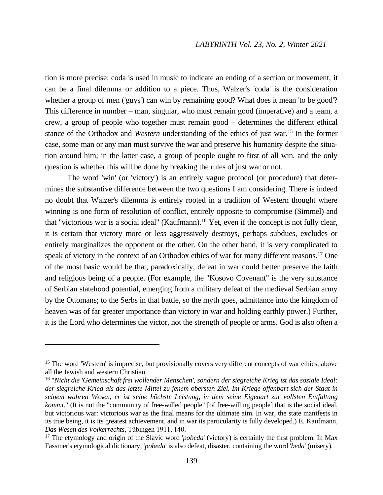tion is more precise: coda is used in music to indicate an ending of a section or movement, it can be a final dilemma or addition to a piece. Thus, Walzer's 'coda' is the consideration whether a group of men ('guys') can win by remaining good? What does it mean 'to be good'? This difference in number – man, singular, who must remain good (imperative) and a team, a crew, a group of people who together must remain good – determines the different ethical stance of the Orthodox and *Western* understanding of the ethics of just war.<sup>15</sup> In the former case, some man or any man must survive the war and preserve his humanity despite the situation around him; in the latter case, a group of people ought to first of all win, and the only question is whether this will be done by breaking the rules of just war or not.

The word 'win' (or 'victory') is an entirely vague protocol (or procedure) that determines the substantive difference between the two questions I am considering. There is indeed no doubt that Walzer's dilemma is entirely rooted in a tradition of Western thought where winning is one form of resolution of conflict, entirely opposite to compromise (Simmel) and that "victorious war is a social ideal" (Kaufmann).<sup>16</sup> Yet, even if the concept is not fully clear, it is certain that victory more or less aggressively destroys, perhaps subdues, excludes or entirely marginalizes the opponent or the other. On the other hand, it is very complicated to speak of victory in the context of an Orthodox ethics of war for many different reasons.<sup>17</sup> One of the most basic would be that, paradoxically, defeat in war could better preserve the faith and religious being of a people. (For example, the "Kosovo Covenant" is the very substance of Serbian statehood potential, emerging from a military defeat of the medieval Serbian army by the Ottomans; to the Serbs in that battle, so the myth goes, admittance into the kingdom of heaven was of far greater importance than victory in war and holding earthly power.) Further, it is the Lord who determines the victor, not the strength of people or arms. God is also often a

<sup>&</sup>lt;sup>15</sup> The word 'Western' is imprecise, but provisionally covers very different concepts of war ethics, above all the Jewish and western Christian.

<sup>&</sup>lt;sup>16</sup> "Nicht die 'Gemeinschaft frei wollender Menschen', sondern der siegreiche Krieg ist das soziale Ideal: *der siegreiche Krieg als das letzte Mittel zu jenem obersten Ziel. Im Kriege offenbart sich der Staat in seinem wahren Wesen, er ist seine höchste Leistung, in dem seine Eigenart zur vollsten Entfaltung kommt*." (It is not the "community of free-willed people" [of free-willing people] that is the social ideal, but victorious war: victorious war as the final means for the ultimate aim. In war, the state manifests in its true being, it is its greatest achievement, and in war its particularity is fully developed.) E. Kaufmann, *Das Wesen des Volkerrechts*, Tűbingen 1911, 140.

<sup>&</sup>lt;sup>17</sup> The etymology and origin of the Slavic word '*pobeda*' (victory) is certainly the first problem. In Max Fassmer's etymological dictionary, '*pobeda*' is also defeat, disaster, containing the word '*beda*' (misery).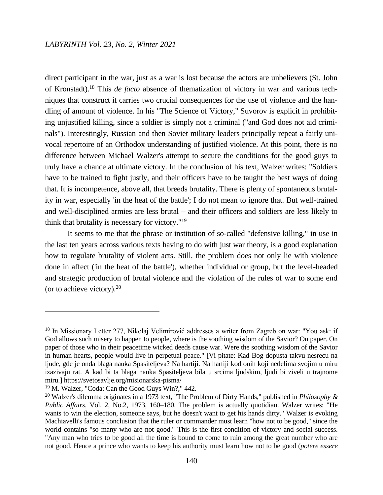direct participant in the war, just as a war is lost because the actors are unbelievers (St. John of Kronstadt).<sup>18</sup> This *de facto* absence of thematization of victory in war and various techniques that construct it carries two crucial consequences for the use of violence and the handling of amount of violence. In his "The Science of Victory," Suvorov is explicit in prohibiting unjustified killing, since a soldier is simply not a criminal ("and God does not aid criminals"). Interestingly, Russian and then Soviet military leaders principally repeat a fairly univocal repertoire of an Orthodox understanding of justified violence. At this point, there is no difference between Michael Walzer's attempt to secure the conditions for the good guys to truly have a chance at ultimate victory. In the conclusion of his text, Walzer writes: "Soldiers have to be trained to fight justly, and their officers have to be taught the best ways of doing that. It is incompetence, above all, that breeds brutality. There is plenty of spontaneous brutality in war, especially 'in the heat of the battle'; I do not mean to ignore that. But well-trained and well-disciplined armies are less brutal – and their officers and soldiers are less likely to think that brutality is necessary for victory."<sup>19</sup>

It seems to me that the phrase or institution of so-called "defensive killing," in use in the last ten years across various texts having to do with just war theory, is a good explanation how to regulate brutality of violent acts. Still, the problem does not only lie with violence done in affect ('in the heat of the battle'), whether individual or group, but the level-headed and strategic production of brutal violence and the violation of the rules of war to some end (or to achieve victory). $20$ 

<sup>&</sup>lt;sup>18</sup> In Missionary Letter 277, Nikolaj Velimirović addresses a writer from Zagreb on war: "You ask: if God allows such misery to happen to people, where is the soothing wisdom of the Savior? On paper. On paper of those who in their peacetime wicked deeds cause war. Were the soothing wisdom of the Savior in human hearts, people would live in perpetual peace." [Vi pitate: Kad Bog dopusta takvu nesrecu na ljude, gde je onda blaga nauka Spasiteljeva? Na hartiji. Na hartiji kod onih koji nedelima svojim u miru izazivaju rat. A kad bi ta blaga nauka Spasiteljeva bila u srcima ljudskim, ljudi bi ziveli u trajnome miru.] https://svetosavlje.org/misionarska-pisma/

<sup>19</sup> M. Walzer, "Coda: Can the Good Guys Win?," 442.

<sup>20</sup> Walzer's dilemma originates in a 1973 text, "The Problem of Dirty Hands," published in *Philosophy & Public Affairs*, Vol. 2, No.2, 1973, 160–180. The problem is actually quotidian. Walzer writes: "He wants to win the election, someone says, but he doesn't want to get his hands dirty." Walzer is evoking Machiavelli's famous conclusion that the ruler or commander must learn "how not to be good," since the world contains "so many who are not good." This is the first condition of victory and social success. "Any man who tries to be good all the time is bound to come to ruin among the great number who are not good. Hence a prince who wants to keep his authority must learn how not to be good (*potere essere*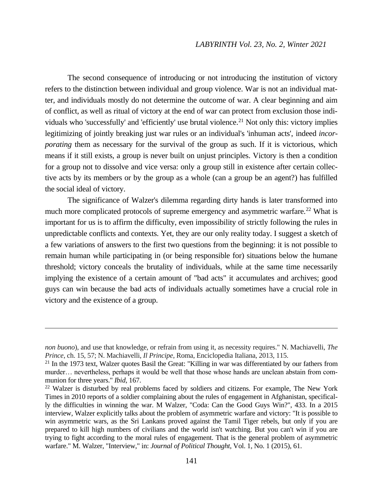The second consequence of introducing or not introducing the institution of victory refers to the distinction between individual and group violence. War is not an individual matter, and individuals mostly do not determine the outcome of war. A clear beginning and aim of conflict, as well as ritual of victory at the end of war can protect from exclusion those individuals who 'successfully' and 'efficiently' use brutal violence.<sup>21</sup> Not only this: victory implies legitimizing of jointly breaking just war rules or an individual's 'inhuman acts', indeed *incorporating* them as necessary for the survival of the group as such. If it is victorious, which means if it still exists, a group is never built on unjust principles. Victory is then a condition for a group not to dissolve and vice versa: only a group still in existence after certain collective acts by its members or by the group as a whole (can a group be an agent?) has fulfilled the social ideal of victory.

The significance of Walzer's dilemma regarding dirty hands is later transformed into much more complicated protocols of supreme emergency and asymmetric warfare.<sup>22</sup> What is important for us is to affirm the difficulty, even impossibility of strictly following the rules in unpredictable conflicts and contexts. Yet, they are our only reality today. I suggest a sketch of a few variations of answers to the first two questions from the beginning: it is not possible to remain human while participating in (or being responsible for) situations below the humane threshold; victory conceals the brutality of individuals, while at the same time necessarily implying the existence of a certain amount of "bad acts" it accumulates and archives; good guys can win because the bad acts of individuals actually sometimes have a crucial role in victory and the existence of a group.

*non buono*), and use that knowledge, or refrain from using it, as necessity requires." N. Machiavelli, *The Prince*, ch. 15, 57; N. Machiavelli, *Il Principe*, Roma, Enciclopedia Italiana, 2013, 115.

<sup>&</sup>lt;sup>21</sup> In the 1973 text, Walzer quotes Basil the Great: "Killing in war was differentiated by our fathers from murder… nevertheless, perhaps it would be well that those whose hands are unclean abstain from communion for three years." *Ibid*, 167.

<sup>&</sup>lt;sup>22</sup> Walzer is disturbed by real problems faced by soldiers and citizens. For example, The New York Times in 2010 reports of a soldier complaining about the rules of engagement in Afghanistan, specifically the difficulties in winning the war. M Walzer, "Coda: Can the Good Guys Win?", 433. In a 2015 interview, Walzer explicitly talks about the problem of asymmetric warfare and victory: "It is possible to win asymmetric wars, as the Sri Lankans proved against the Tamil Tiger rebels, but only if you are prepared to kill high numbers of civilians and the world isn't watching. But you can't win if you are trying to fight according to the moral rules of engagement. That is the general problem of asymmetric warfare." M. Walzer, "Interview," in: *Journal of Political Thought*, Vol. 1, No. 1 (2015), 61.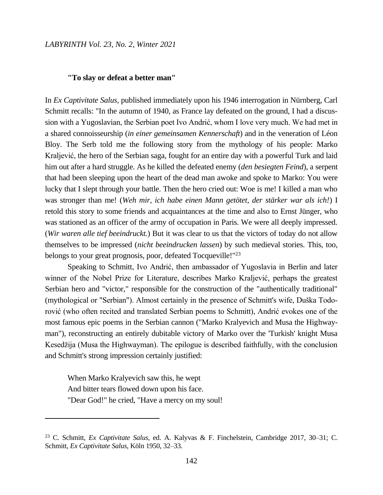## **"To slay or defeat a better man"**

In *Ex Captivitate Salus*, published immediately upon his 1946 interrogation in Nürnberg, Carl Schmitt recalls: "In the autumn of 1940, as France lay defeated on the ground, I had a discussion with a Yugoslavian, the Serbian poet Ivo Andrić, whom I love very much. We had met in a shared connoisseurship (*in einer gemeinsamen Kennerschaft*) and in the veneration of Léon Bloy. The Serb told me the following story from the mythology of his people: Marko Kraljević, the hero of the Serbian saga, fought for an entire day with a powerful Turk and laid him out after a hard struggle. As he killed the defeated enemy (*den besiegten Feind*), a serpent that had been sleeping upon the heart of the dead man awoke and spoke to Marko: You were lucky that I slept through your battle. Then the hero cried out: Woe is me! I killed a man who was stronger than me! (*Weh mir, ich habe einen Mann getötet, der stärker war als ich!*) I retold this story to some friends and acquaintances at the time and also to Ernst Jünger, who was stationed as an officer of the army of occupation in Paris. We were all deeply impressed. (*Wir waren alle tief beeindruckt.*) But it was clear to us that the victors of today do not allow themselves to be impressed (*nicht beeindrucken lassen*) by such medieval stories. This, too, belongs to your great prognosis, poor, defeated Tocqueville!"<sup>23</sup>

Speaking to Schmitt, Ivo Andrić, then ambassador of Yugoslavia in Berlin and later winner of the Nobel Prize for Literature, describes Marko Kraljević, perhaps the greatest Serbian hero and "victor," responsible for the construction of the "authentically traditional" (mythological or "Serbian"). Almost certainly in the presence of Schmitt's wife, Duška Todorović (who often recited and translated Serbian poems to Schmitt), Andrić evokes one of the most famous epic poems in the Serbian cannon ("Marko Kralyevich and Musa the Highwayman"), reconstructing an entirely dubitable victory of Marko over the 'Turkish' knight Musa Kesedžija (Musa the Highwayman). The epilogue is described faithfully, with the conclusion and Schmitt's strong impression certainly justified:

When Marko Kralyevich saw this, he wept And bitter tears flowed down upon his face. "Dear God!" he cried, "Have a mercy on my soul!

<sup>23</sup> C. Schmitt, *Ex Captivitate Salus*, ed. A. Kalyvas & F. Finchelstein, Cambridge 2017, 30–31; C. Schmitt, *Ex Captivitate Salus*, Köln 1950, 32–33.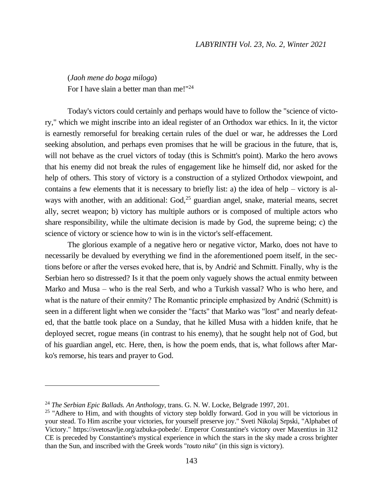(*Jaoh mene do boga miloga*) For I have slain a better man than me!"<sup>24</sup>

Today's victors could certainly and perhaps would have to follow the "science of victory," which we might inscribe into an ideal register of an Orthodox war ethics. In it, the victor is earnestly remorseful for breaking certain rules of the duel or war, he addresses the Lord seeking absolution, and perhaps even promises that he will be gracious in the future, that is, will not behave as the cruel victors of today (this is Schmitt's point). Marko the hero avows that his enemy did not break the rules of engagement like he himself did, nor asked for the help of others. This story of victory is a construction of a stylized Orthodox viewpoint, and contains a few elements that it is necessary to briefly list: a) the idea of help – victory is always with another, with an additional:  $God<sup>25</sup>$  guardian angel, snake, material means, secret ally, secret weapon; b) victory has multiple authors or is composed of multiple actors who share responsibility, while the ultimate decision is made by God, the supreme being; c) the science of victory or science how to win is in the victor's self-effacement.

The glorious example of a negative hero or negative victor, Marko, does not have to necessarily be devalued by everything we find in the aforementioned poem itself, in the sections before or after the verses evoked here, that is, by Andrić and Schmitt. Finally, why is the Serbian hero so distressed? Is it that the poem only vaguely shows the actual enmity between Marko and Musa – who is the real Serb, and who a Turkish vassal? Who is who here, and what is the nature of their enmity? The Romantic principle emphasized by Andrić (Schmitt) is seen in a different light when we consider the "facts" that Marko was "lost" and nearly defeated, that the battle took place on a Sunday, that he killed Musa with a hidden knife, that he deployed secret, rogue means (in contrast to his enemy), that he sought help not of God, but of his guardian angel, etc. Here, then, is how the poem ends, that is, what follows after Marko's remorse, his tears and prayer to God.

<sup>24</sup> *The Serbian Epic Ballads. An Anthology*, trans. G. N. W. Locke, Belgrade 1997, 201.

 $25$  "Adhere to Him, and with thoughts of victory step boldly forward. God in you will be victorious in your stead. To Him ascribe your victories, for yourself preserve joy." Sveti Nikolaj Srpski, "Alphabet of Victory." [https://svetosavlje.org/azbuka-pobede/.](https://svetosavlje.org/azbuka-pobede/) Emperor Constantine's victory over Maxentius in 312 CE is preceded by Constantine's mystical experience in which the stars in the sky made a cross brighter than the Sun, and inscribed with the Greek words "*touto nika*" (in this sign is victory).